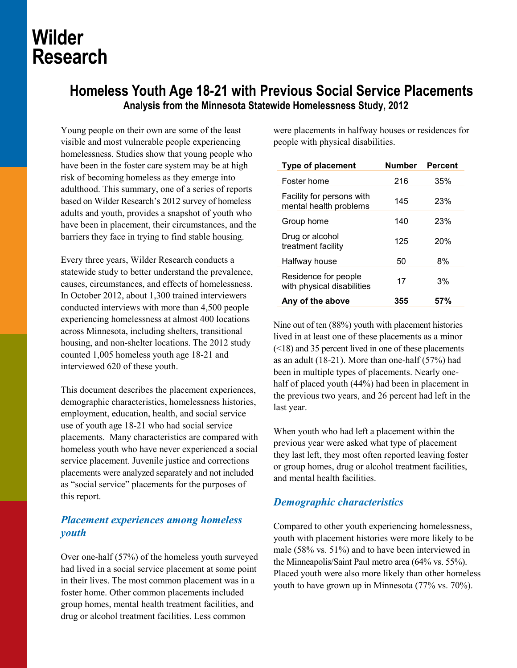# **Wilder Research**

## **Homeless Youth Age 18-21 with Previous Social Service Placements Analysis from the Minnesota Statewide Homelessness Study, 2012**

Young people on their own are some of the least visible and most vulnerable people experiencing homelessness. Studies show that young people who have been in the foster care system may be at high risk of becoming homeless as they emerge into adulthood. This summary, one of a series of reports based on Wilder Research's 2012 survey of homeless adults and youth, provides a snapshot of youth who have been in placement, their circumstances, and the barriers they face in trying to find stable housing.

Every three years, Wilder Research conducts a statewide study to better understand the prevalence, causes, circumstances, and effects of homelessness. In October 2012, about 1,300 trained interviewers conducted interviews with more than 4,500 people experiencing homelessness at almost 400 locations across Minnesota, including shelters, transitional housing, and non-shelter locations. The 2012 study counted 1,005 homeless youth age 18-21 and interviewed 620 of these youth.

This document describes the placement experiences, demographic characteristics, homelessness histories, employment, education, health, and social service use of youth age 18-21 who had social service placements. Many characteristics are compared with homeless youth who have never experienced a social service placement. Juvenile justice and corrections placements were analyzed separately and not included as "social service" placements for the purposes of this report.

## *Placement experiences among homeless youth*

Over one-half (57%) of the homeless youth surveyed had lived in a social service placement at some point in their lives. The most common placement was in a foster home. Other common placements included group homes, mental health treatment facilities, and drug or alcohol treatment facilities. Less common

were placements in halfway houses or residences for people with physical disabilities.

| <b>Type of placement</b>                            | <b>Number</b> | <b>Percent</b> |
|-----------------------------------------------------|---------------|----------------|
| Foster home                                         | 216           | 35%            |
| Facility for persons with<br>mental health problems | 145           | 23%            |
| Group home                                          | 140           | 23%            |
| Drug or alcohol<br>treatment facility               | 125           | 20%            |
| Halfway house                                       | 50            | 8%             |
| Residence for people<br>with physical disabilities  | 17            | 3%             |
| Any of the above                                    | 355           | 57%            |

Nine out of ten (88%) youth with placement histories lived in at least one of these placements as a minor (<18) and 35 percent lived in one of these placements as an adult (18-21). More than one-half (57%) had been in multiple types of placements. Nearly onehalf of placed youth (44%) had been in placement in the previous two years, and 26 percent had left in the last year.

When youth who had left a placement within the previous year were asked what type of placement they last left, they most often reported leaving foster or group homes, drug or alcohol treatment facilities, and mental health facilities.

## *Demographic characteristics*

Compared to other youth experiencing homelessness, youth with placement histories were more likely to be male (58% vs. 51%) and to have been interviewed in the Minneapolis/Saint Paul metro area (64% vs. 55%). Placed youth were also more likely than other homeless youth to have grown up in Minnesota (77% vs. 70%).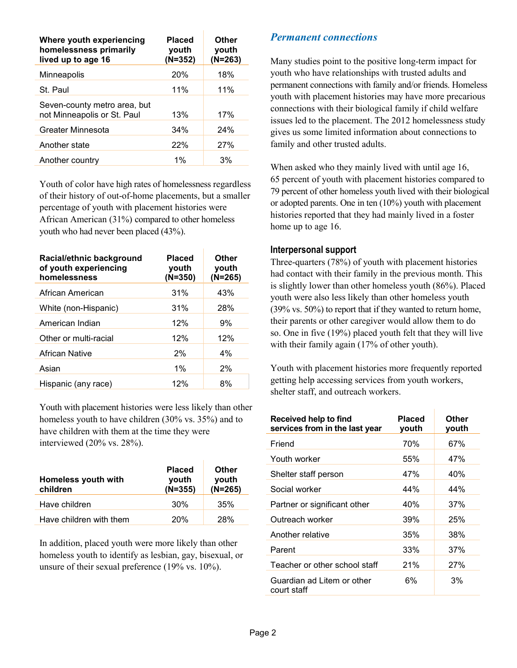| Where youth experiencing<br>homelessness primarily<br>lived up to age 16 | <b>Placed</b><br>youth<br>$(N=352)$ | Other<br>youth<br>$(N=263)$ |
|--------------------------------------------------------------------------|-------------------------------------|-----------------------------|
| Minneapolis                                                              | 20%                                 | 18%                         |
| St. Paul                                                                 | 11%                                 | 11%                         |
| Seven-county metro area, but<br>not Minneapolis or St. Paul              | 13%                                 | 17%                         |
| Greater Minnesota                                                        | 34%                                 | 24%                         |
| Another state                                                            | 22%                                 | 27%                         |
| Another country                                                          | 1%                                  | 3%                          |

Youth of color have high rates of homelessness regardless of their history of out-of-home placements, but a smaller percentage of youth with placement histories were African American (31%) compared to other homeless youth who had never been placed (43%).

| Racial/ethnic background<br>of youth experiencing<br>homelessness | <b>Placed</b><br>youth<br>$(N=350)$ | Other<br>youth<br>$(N=265)$ |
|-------------------------------------------------------------------|-------------------------------------|-----------------------------|
| African American                                                  | 31%                                 | 43%                         |
| White (non-Hispanic)                                              | 31%                                 | 28%                         |
| American Indian                                                   | 12%                                 | 9%                          |
| Other or multi-racial                                             | 12%                                 | 12%                         |
| African Native                                                    | 2%                                  | 4%                          |
| Asian                                                             | $1\%$                               | 2%                          |
| Hispanic (any race)                                               | 12%                                 | 8%                          |

Youth with placement histories were less likely than other homeless youth to have children (30% vs. 35%) and to have children with them at the time they were interviewed (20% vs. 28%).

| <b>Homeless youth with</b><br>children | <b>Placed</b><br>youth<br>$(N=355)$ | Other<br>youth<br>$(N=265)$ |
|----------------------------------------|-------------------------------------|-----------------------------|
| Have children                          | 30%                                 | 35%                         |
| Have children with them                | 20%                                 | <b>28%</b>                  |

In addition, placed youth were more likely than other homeless youth to identify as lesbian, gay, bisexual, or unsure of their sexual preference (19% vs. 10%).

## *Permanent connections*

Many studies point to the positive long-term impact for youth who have relationships with trusted adults and permanent connections with family and/or friends. Homeless youth with placement histories may have more precarious connections with their biological family if child welfare issues led to the placement. The 2012 homelessness study gives us some limited information about connections to family and other trusted adults.

When asked who they mainly lived with until age 16, 65 percent of youth with placement histories compared to 79 percent of other homeless youth lived with their biological or adopted parents. One in ten (10%) youth with placement histories reported that they had mainly lived in a foster home up to age 16.

#### **Interpersonal support**

Three-quarters (78%) of youth with placement histories had contact with their family in the previous month. This is slightly lower than other homeless youth (86%). Placed youth were also less likely than other homeless youth (39% vs. 50%) to report that if they wanted to return home, their parents or other caregiver would allow them to do so. One in five (19%) placed youth felt that they will live with their family again (17% of other youth).

Youth with placement histories more frequently reported getting help accessing services from youth workers, shelter staff, and outreach workers.

| Received help to find<br>services from in the last year | Placed<br>youth | Other<br>youth |
|---------------------------------------------------------|-----------------|----------------|
| Friend                                                  | 70%             | 67%            |
| Youth worker                                            | 55%             | 47%            |
| Shelter staff person                                    | 47%             | 40%            |
| Social worker                                           | 44%             | 44%            |
| Partner or significant other                            | 40%             | 37%            |
| Outreach worker                                         | 39%             | 25%            |
| Another relative                                        | 35%             | 38%            |
| Parent                                                  | 33%             | 37%            |
| Teacher or other school staff                           | 21%             | 27%            |
| Guardian ad Litem or other<br>court staff               | 6%              | 3%             |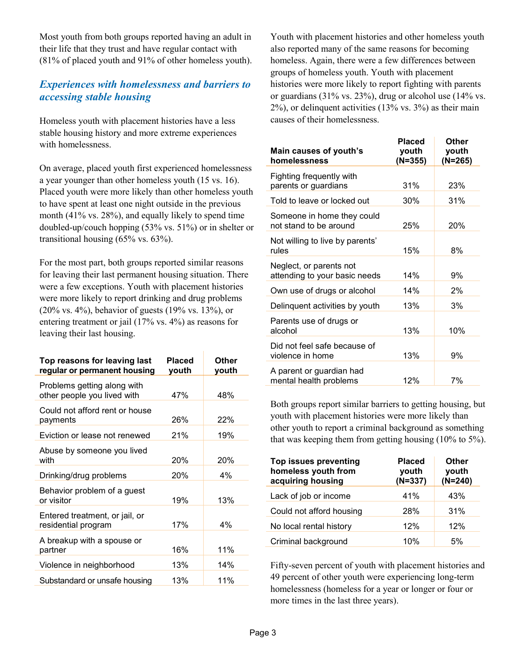Most youth from both groups reported having an adult in their life that they trust and have regular contact with (81% of placed youth and 91% of other homeless youth).

## *Experiences with homelessness and barriers to accessing stable housing*

Homeless youth with placement histories have a less stable housing history and more extreme experiences with homelessness.

On average, placed youth first experienced homelessness a year younger than other homeless youth (15 vs. 16). Placed youth were more likely than other homeless youth to have spent at least one night outside in the previous month (41% vs. 28%), and equally likely to spend time doubled-up/couch hopping (53% vs. 51%) or in shelter or transitional housing (65% vs. 63%).

For the most part, both groups reported similar reasons for leaving their last permanent housing situation. There were a few exceptions. Youth with placement histories were more likely to report drinking and drug problems (20% vs. 4%), behavior of guests (19% vs. 13%), or entering treatment or jail (17% vs. 4%) as reasons for leaving their last housing.

| Top reasons for leaving last<br>regular or permanent housing | <b>Placed</b><br>youth | Other<br>youth |
|--------------------------------------------------------------|------------------------|----------------|
| Problems getting along with<br>other people you lived with   | 47%                    | 48%            |
| Could not afford rent or house<br>payments                   | 26%                    | 22%            |
| Eviction or lease not renewed                                | 21%                    | 19%            |
| Abuse by someone you lived<br>with                           | 20%                    | 20%            |
| Drinking/drug problems                                       | 20%                    | 4%             |
| Behavior problem of a guest<br>or visitor                    | 19%                    | 13%            |
| Entered treatment, or jail, or<br>residential program        | 17%                    | 4%             |
| A breakup with a spouse or<br>partner                        | 16%                    | 11%            |
| Violence in neighborhood                                     | 13%                    | 14%            |
| Substandard or unsafe housing                                | 13%                    | 11%            |

Youth with placement histories and other homeless youth also reported many of the same reasons for becoming homeless. Again, there were a few differences between groups of homeless youth. Youth with placement histories were more likely to report fighting with parents or guardians (31% vs. 23%), drug or alcohol use (14% vs. 2%), or delinquent activities (13% vs. 3%) as their main causes of their homelessness.

| Main causes of youth's<br>homelessness                   | <b>Placed</b><br>youth<br>$(N=355)$ | Other<br>youth<br>$(N=265)$ |
|----------------------------------------------------------|-------------------------------------|-----------------------------|
| Fighting frequently with<br>parents or guardians         | 31%                                 | 23%                         |
| Told to leave or locked out                              | 30%                                 | 31%                         |
| Someone in home they could<br>not stand to be around     | 25%                                 | 20%                         |
| Not willing to live by parents'<br>rules                 | 15%                                 | 8%                          |
| Neglect, or parents not<br>attending to your basic needs | 14%                                 | 9%                          |
| Own use of drugs or alcohol                              | 14%                                 | 2%                          |
| Delinquent activities by youth                           | 13%                                 | 3%                          |
| Parents use of drugs or<br>alcohol                       | 13%                                 | 10%                         |
| Did not feel safe because of<br>violence in home         | 13%                                 | 9%                          |
| A parent or guardian had<br>mental health problems       | 12%                                 | 7%                          |

Both groups report similar barriers to getting housing, but youth with placement histories were more likely than other youth to report a criminal background as something that was keeping them from getting housing (10% to 5%).

| <b>Top issues preventing</b><br>homeless youth from<br>acquiring housing | <b>Placed</b><br>youth<br>$(N=337)$ | <b>Other</b><br>youth<br>$(N=240)$ |
|--------------------------------------------------------------------------|-------------------------------------|------------------------------------|
| Lack of job or income                                                    | 41%                                 | 43%                                |
| Could not afford housing                                                 | 28%                                 | 31%                                |
| No local rental history                                                  | 12%                                 | 12%                                |
| Criminal background                                                      | 10%                                 | 5%                                 |

Fifty-seven percent of youth with placement histories and 49 percent of other youth were experiencing long-term homelessness (homeless for a year or longer or four or more times in the last three years).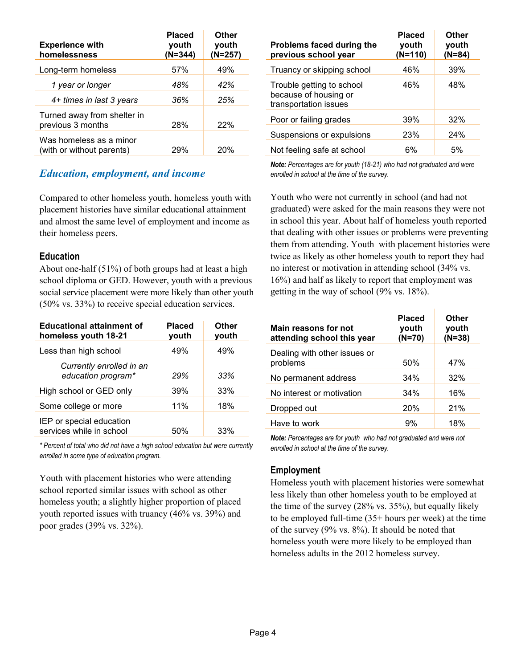| <b>Experience with</b><br>homelessness               | <b>Placed</b><br>youth<br>$(N=344)$ | Other<br>youth<br>$(N=257)$ |
|------------------------------------------------------|-------------------------------------|-----------------------------|
| Long-term homeless                                   | 57%                                 | 49%                         |
| 1 year or longer                                     | 48%                                 | 42%                         |
| 4+ times in last 3 years                             | 36%                                 | 25%                         |
| Turned away from shelter in<br>previous 3 months     | 28%                                 | <b>22%</b>                  |
| Was homeless as a minor<br>(with or without parents) | 29%                                 | <b>20%</b>                  |

## *Education, employment, and income*

Compared to other homeless youth, homeless youth with placement histories have similar educational attainment and almost the same level of employment and income as their homeless peers.

#### **Education**

About one-half (51%) of both groups had at least a high school diploma or GED. However, youth with a previous social service placement were more likely than other youth (50% vs. 33%) to receive special education services.

| <b>Educational attainment of</b><br>homeless youth 18-21 | <b>Placed</b><br>youth | Other<br>youth |
|----------------------------------------------------------|------------------------|----------------|
| Less than high school                                    | 49%                    | 49%            |
| Currently enrolled in an<br>education program*           | 29%                    | 33%            |
| High school or GED only                                  | 39%                    | 33%            |
| Some college or more                                     | 11%                    | 18%            |
| IEP or special education<br>services while in school     | 50%                    | 33%            |

*\* Percent of total who did not have a high school education but were currently enrolled in some type of education program.* 

Youth with placement histories who were attending school reported similar issues with school as other homeless youth; a slightly higher proportion of placed youth reported issues with truancy (46% vs. 39%) and poor grades (39% vs. 32%).

| Problems faced during the<br>previous school year                           | <b>Placed</b><br>youth<br>$(N=110)$ | Other<br>youth<br>$(N=84)$ |
|-----------------------------------------------------------------------------|-------------------------------------|----------------------------|
| Truancy or skipping school                                                  | 46%                                 | 39%                        |
| Trouble getting to school<br>because of housing or<br>transportation issues | 46%                                 | 48%                        |
| Poor or failing grades                                                      | 39%                                 | 32%                        |
| Suspensions or expulsions                                                   | 23%                                 | 24%                        |
| Not feeling safe at school                                                  | 6%                                  | .5%                        |

*Note: Percentages are for youth (18-21) who had not graduated and were enrolled in school at the time of the survey.*

Youth who were not currently in school (and had not graduated) were asked for the main reasons they were not in school this year. About half of homeless youth reported that dealing with other issues or problems were preventing them from attending. Youth with placement histories were twice as likely as other homeless youth to report they had no interest or motivation in attending school (34% vs. 16%) and half as likely to report that employment was getting in the way of school (9% vs. 18%).

| Main reasons for not<br>attending school this year | <b>Placed</b><br>youth<br>$(N=70)$ | Other<br>youth<br>$(N=38)$ |
|----------------------------------------------------|------------------------------------|----------------------------|
| Dealing with other issues or<br>problems           | 50%                                | 47%                        |
| No permanent address                               | 34%                                | 32%                        |
| No interest or motivation                          | 34%                                | 16%                        |
| Dropped out                                        | 20%                                | 21%                        |
| Have to work                                       | 9%                                 | 18%                        |

*Note: Percentages are for youth who had not graduated and were not enrolled in school at the time of the survey.*

#### **Employment**

Homeless youth with placement histories were somewhat less likely than other homeless youth to be employed at the time of the survey (28% vs. 35%), but equally likely to be employed full-time (35+ hours per week) at the time of the survey  $(9\%$  vs.  $8\%)$ . It should be noted that homeless youth were more likely to be employed than homeless adults in the 2012 homeless survey.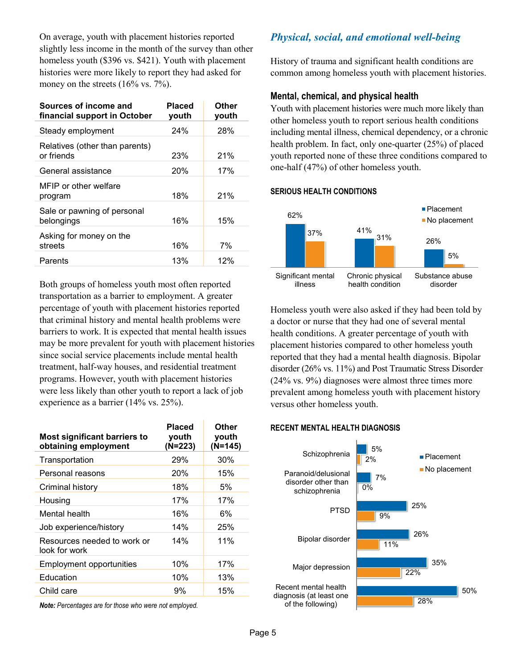On average, youth with placement histories reported slightly less income in the month of the survey than other homeless youth (\$396 vs. \$421). Youth with placement histories were more likely to report they had asked for money on the streets (16% vs. 7%).

| Sources of income and<br>financial support in October | Placed<br>youth | Other<br>youth |
|-------------------------------------------------------|-----------------|----------------|
| Steady employment                                     | 24%             | 28%            |
| Relatives (other than parents)<br>or friends          | 23%             | 21%            |
| General assistance                                    | 20%             | 17%            |
| MFIP or other welfare<br>program                      | 18%             | 21%            |
| Sale or pawning of personal<br>belongings             | 16%             | 15%            |
| Asking for money on the<br>streets                    | 16%             | 7%             |
| Parents                                               | 13%             | 12%            |

Both groups of homeless youth most often reported transportation as a barrier to employment. A greater percentage of youth with placement histories reported that criminal history and mental health problems were barriers to work. It is expected that mental health issues may be more prevalent for youth with placement histories since social service placements include mental health treatment, half-way houses, and residential treatment programs. However, youth with placement histories were less likely than other youth to report a lack of job experience as a barrier (14% vs. 25%).

| <b>Most significant barriers to</b><br>obtaining employment | Placed<br>youth<br>(N=223) | Other<br>youth<br>$(N=145)$ |
|-------------------------------------------------------------|----------------------------|-----------------------------|
| Transportation                                              | 29%                        | 30%                         |
| Personal reasons                                            | <b>20%</b>                 | 15%                         |
| Criminal history                                            | 18%                        | 5%                          |
| Housing                                                     | 17%                        | 17%                         |
| Mental health                                               | 16%                        | 6%                          |
| Job experience/history                                      | 14%                        | 25%                         |
| Resources needed to work or<br>look for work                | 14%                        | 11%                         |
| <b>Employment opportunities</b>                             | 10%                        | 17%                         |
| Education                                                   | 10%                        | 13%                         |
| Child care                                                  | 9%                         | 15%                         |
|                                                             |                            |                             |

*Note: Percentages are for those who were not employed.*

## *Physical, social, and emotional well-being*

History of trauma and significant health conditions are common among homeless youth with placement histories.

#### **Mental, chemical, and physical health**

Youth with placement histories were much more likely than other homeless youth to report serious health conditions including mental illness, chemical dependency, or a chronic health problem. In fact, only one-quarter (25%) of placed youth reported none of these three conditions compared to one-half (47%) of other homeless youth.



Homeless youth were also asked if they had been told by a doctor or nurse that they had one of several mental health conditions. A greater percentage of youth with placement histories compared to other homeless youth reported that they had a mental health diagnosis. Bipolar disorder (26% vs. 11%) and Post Traumatic Stress Disorder (24% vs. 9%) diagnoses were almost three times more prevalent among homeless youth with placement history versus other homeless youth.

#### **RECENT MENTAL HEALTH DIAGNOSIS**

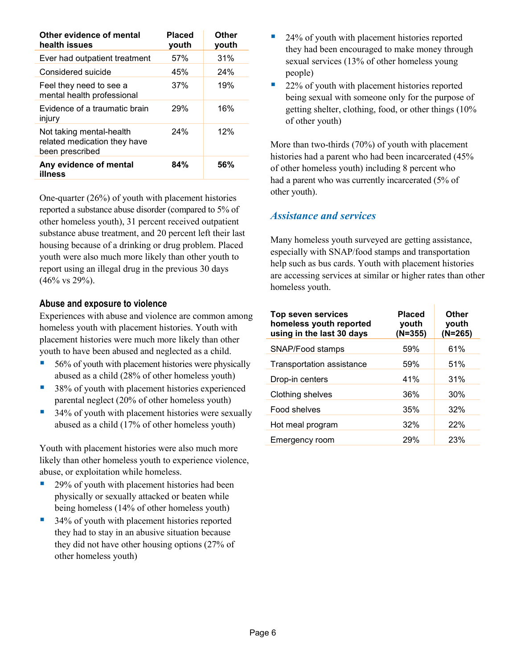| Other evidence of mental<br>health issues                                   | <b>Placed</b><br>youth | Other<br>youth |
|-----------------------------------------------------------------------------|------------------------|----------------|
| Ever had outpatient treatment                                               | 57%                    | 31%            |
| Considered suicide                                                          | 45%                    | 24%            |
| Feel they need to see a<br>mental health professional                       | 37%                    | 19%            |
| Evidence of a traumatic brain<br>injury                                     | 29%                    | 16%            |
| Not taking mental-health<br>related medication they have<br>been prescribed | 24%                    | 12%            |
| Any evidence of mental<br>illness                                           | 84%                    | 56%            |

One-quarter (26%) of youth with placement histories reported a substance abuse disorder (compared to 5% of other homeless youth), 31 percent received outpatient substance abuse treatment, and 20 percent left their last housing because of a drinking or drug problem. Placed youth were also much more likely than other youth to report using an illegal drug in the previous 30 days  $(46\% \text{ vs } 29\%).$ 

### **Abuse and exposure to violence**

Experiences with abuse and violence are common among homeless youth with placement histories. Youth with placement histories were much more likely than other youth to have been abused and neglected as a child.

- 56% of youth with placement histories were physically abused as a child (28% of other homeless youth)
- 38% of youth with placement histories experienced parental neglect (20% of other homeless youth)
- 34% of youth with placement histories were sexually abused as a child (17% of other homeless youth)

Youth with placement histories were also much more likely than other homeless youth to experience violence, abuse, or exploitation while homeless.

- 29% of youth with placement histories had been physically or sexually attacked or beaten while being homeless (14% of other homeless youth)
- 34% of youth with placement histories reported they had to stay in an abusive situation because they did not have other housing options (27% of other homeless youth)
- 24% of youth with placement histories reported they had been encouraged to make money through sexual services (13% of other homeless young people)
- 22% of youth with placement histories reported being sexual with someone only for the purpose of getting shelter, clothing, food, or other things (10% of other youth)

More than two-thirds (70%) of youth with placement histories had a parent who had been incarcerated (45% of other homeless youth) including 8 percent who had a parent who was currently incarcerated (5% of other youth).

## *Assistance and services*

Many homeless youth surveyed are getting assistance, especially with SNAP/food stamps and transportation help such as bus cards. Youth with placement histories are accessing services at similar or higher rates than other homeless youth.

| <b>Top seven services</b><br>homeless youth reported<br>using in the last 30 days | Placed<br>youth<br>(N=355) | <b>Other</b><br>youth<br>$(N=265)$ |
|-----------------------------------------------------------------------------------|----------------------------|------------------------------------|
| SNAP/Food stamps                                                                  | 59%                        | 61%                                |
| Transportation assistance                                                         | 59%                        | 51%                                |
| Drop-in centers                                                                   | 41%                        | 31%                                |
| Clothing shelves                                                                  | 36%                        | 30%                                |
| Food shelves                                                                      | 35%                        | 32%                                |
| Hot meal program                                                                  | 32%                        | 22%                                |
| Emergency room                                                                    | 29%                        | 23%                                |